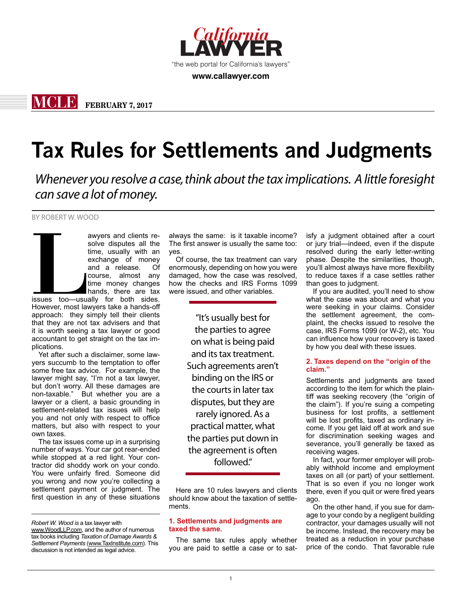

**www.callawyer.com**

**MCLE FEBRUARY 7, 2017**

# **Tax Rules for Settlements and Judgments**

*Whenever you resolve a case, think about the tax implications. A little foresight can save a lot of money.*

BY ROBERT W. WOOD

awyers and clients resolve disputes all the<br>time, usually with an<br>exchange of money<br>and a release. Of<br>course, almost any<br>time money changes<br>hands, there are tax<br>issues too—usually for both sides.<br>However, most lawyers take solve disputes all the time, usually with an exchange of money and a release. Of course, almost any time money changes hands, there are tax issues too—usually for both sides. However, most lawyers take a hands-off approach: they simply tell their clients that they are not tax advisers and that it is worth seeing a tax lawyer or good accountant to get straight on the tax im-

plications. Yet after such a disclaimer, some lawyers succumb to the temptation to offer some free tax advice. For example, the lawyer might say, "I'm not a tax lawyer, but don't worry. All these damages are non-taxable." But whether you are a lawyer or a client, a basic grounding in settlement-related tax issues will help you and not only with respect to office matters, but also with respect to your own taxes.

The tax issues come up in a surprising number of ways. Your car got rear-ended while stopped at a red light. Your contractor did shoddy work on your condo. You were unfairly fired. Someone did you wrong and now you're collecting a settlement payment or judgment. The first question in any of these situations

always the same: is it taxable income? The first answer is usually the same too: yes.

Of course, the tax treatment can vary enormously, depending on how you were damaged, how the case was resolved, how the checks and IRS Forms 1099 were issued, and other variables.

> "It's usually best for the parties to agree on what is being paid and its tax treatment. Such agreements aren't binding on the IRS or the courts in later tax disputes, but they are rarely ignored. As a practical matter, what the parties put down in the agreement is often followed."

Here are 10 rules lawyers and clients should know about the taxation of settlements.

# **1. Settlements and judgments are taxed the same.**

The same tax rules apply whether you are paid to settle a case or to satisfy a judgment obtained after a court or jury trial—indeed, even if the dispute resolved during the early letter-writing phase. Despite the similarities, though, you'll almost always have more flexibility to reduce taxes if a case settles rather than goes to judgment.

If you are audited, you'll need to show what the case was about and what you were seeking in your claims. Consider the settlement agreement, the complaint, the checks issued to resolve the case, IRS Forms 1099 (or W-2), etc. You can influence how your recovery is taxed by how you deal with these issues.

# **2. Taxes depend on the "origin of the claim."**

Settlements and judgments are taxed according to the item for which the plaintiff was seeking recovery (the "origin of the claim"). If you're suing a competing business for lost profits, a settlement will be lost profits, taxed as ordinary income. If you get laid off at work and sue for discrimination seeking wages and severance, you'll generally be taxed as receiving wages.

In fact, your former employer will probably withhold income and employment taxes on all (or part) of your settlement. That is so even if you no longer work there, even if you quit or were fired years ago.

On the other hand, if you sue for damage to your condo by a negligent building contractor, your damages usually will not be income. Instead, the recovery may be treated as a reduction in your purchase price of the condo. That favorable rule

*Robert W. Wood is* a tax lawyer with www.WoodLLP.com, and the author of numerous tax books including *Taxation of Damage Awards & Settlement Payments* (www.TaxInstitute.com). This discussion is not intended as legal advice.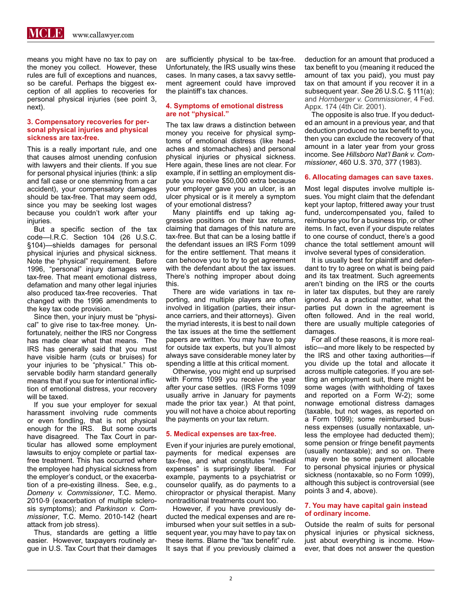

means you might have no tax to pay on the money you collect. However, these rules are full of exceptions and nuances, so be careful. Perhaps the biggest exception of all applies to recoveries for personal physical injuries (see point 3, next).

### **3. Compensatory recoveries for personal physical injuries and physical sickness are tax-free.**

This is a really important rule, and one that causes almost unending confusion with lawyers and their clients. If you sue for personal physical injuries (think: a slip and fall case or one stemming from a car accident), your compensatory damages should be tax-free. That may seem odd, since you may be seeking lost wages because you couldn't work after your injuries.

But a specific section of the tax code—I.R.C. Section 104 (26 U.S.C. §104)—shields damages for personal physical injuries and physical sickness. Note the "physical" requirement. Before 1996, "personal" injury damages were tax-free. That meant emotional distress, defamation and many other legal injuries also produced tax-free recoveries. That changed with the 1996 amendments to the key tax code provision.

Since then, your injury must be "physical" to give rise to tax-free money. Unfortunately, neither the IRS nor Congress has made clear what that means. The IRS has generally said that you must have visible harm (cuts or bruises) for your injuries to be "physical." This observable bodily harm standard generally means that if you sue for intentional infliction of emotional distress, your recovery will be taxed.

If you sue your employer for sexual harassment involving rude comments or even fondling, that is not physical enough for the IRS. But some courts have disagreed. The Tax Court in particular has allowed some employment lawsuits to enjoy complete or partial taxfree treatment. This has occurred where the employee had physical sickness from the employer's conduct, or the exacerbation of a pre-existing illness. See, e.g., *Domeny v. Commissioner*, T.C. Memo. 2010-9 (exacerbation of multiple sclerosis symptoms); and *Parkinson v. Commissioner*, T.C. Memo. 2010-142 (heart attack from job stress).

Thus, standards are getting a little easier. However, taxpayers routinely argue in U.S. Tax Court that their damages are sufficiently physical to be tax-free. Unfortunately, the IRS usually wins these cases. In many cases, a tax savvy settlement agreement could have improved the plaintiff's tax chances.

# **4. Symptoms of emotional distress are not "physical."**

The tax law draws a distinction between money you receive for physical symptoms of emotional distress (like headaches and stomachaches) and personal physical injuries or physical sickness. Here again, these lines are not clear. For example, if in settling an employment dispute you receive \$50,000 extra because your employer gave you an ulcer, is an ulcer physical or is it merely a symptom of your emotional distress?

Many plaintiffs end up taking aggressive positions on their tax returns, claiming that damages of this nature are tax-free. But that can be a losing battle if the defendant issues an IRS Form 1099 for the entire settlement. That means it can behoove you to try to get agreement with the defendant about the tax issues. There's nothing improper about doing this.

There are wide variations in tax reporting, and multiple players are often involved in litigation (parties, their insurance carriers, and their attorneys). Given the myriad interests, it is best to nail down the tax issues at the time the settlement papers are written. You may have to pay for outside tax experts, but you'll almost always save considerable money later by spending a little at this critical moment.

Otherwise, you might end up surprised with Forms 1099 you receive the year after your case settles. (IRS Forms 1099 usually arrive in January for payments made the prior tax year.) At that point, you will not have a choice about reporting the payments on your tax return.

# **5. Medical expenses are tax-free.**

Even if your injuries are purely emotional, payments for medical expenses are tax-free, and what constitutes "medical expenses" is surprisingly liberal. For example, payments to a psychiatrist or counselor qualify, as do payments to a chiropractor or physical therapist. Many nontraditional treatments count too.

However, if you have previously deducted the medical expenses and are reimbursed when your suit settles in a subsequent year, you may have to pay tax on these items. Blame the "tax benefit" rule. It says that if you previously claimed a deduction for an amount that produced a tax benefit to you (meaning it reduced the amount of tax you paid), you must pay tax on that amount if you recover it in a subsequent year. *See* 26 U.S.C. § 111(a); and *Hornberger v. Commissioner*, 4 Fed. Appx. 174 (4th Cir. 2001).

The opposite is also true. If you deducted an amount in a previous year, and that deduction produced no tax benefit to you, then you can exclude the recovery of that amount in a later year from your gross income. See *Hillsboro Nat'l Bank v. Commissioner*, 460 U.S. 370, 377 (1983).

### **6. Allocating damages can save taxes.**

Most legal disputes involve multiple issues. You might claim that the defendant kept your laptop, frittered away your trust fund, undercompensated you, failed to reimburse you for a business trip, or other items. In fact, even if your dispute relates to one course of conduct, there's a good chance the total settlement amount will involve several types of consideration.

It is usually best for plaintiff and defendant to try to agree on what is being paid and its tax treatment. Such agreements aren't binding on the IRS or the courts in later tax disputes, but they are rarely ignored. As a practical matter, what the parties put down in the agreement is often followed. And in the real world, there are usually multiple categories of damages.

For all of these reasons, it is more realistic—and more likely to be respected by the IRS and other taxing authorities—if you divide up the total and allocate it across multiple categories. If you are settling an employment suit, there might be some wages (with withholding of taxes and reported on a Form W-2); some nonwage emotional distress damages (taxable, but not wages, as reported on a Form 1099); some reimbursed business expenses (usually nontaxable, unless the employee had deducted them); some pension or fringe benefit payments (usually nontaxable); and so on. There may even be some payment allocable to personal physical injuries or physical sickness (nontaxable, so no Form 1099), although this subject is controversial (see points 3 and 4, above).

# **7. You may have capital gain instead of ordinary income.**

Outside the realm of suits for personal physical injuries or physical sickness, just about everything is income. However, that does not answer the question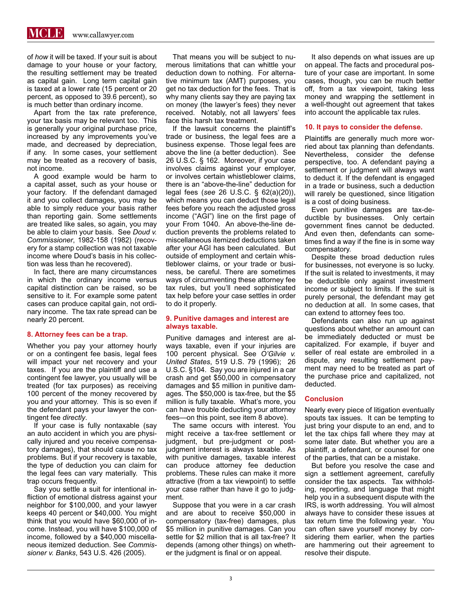**MCLE** www.callawyer.com

of *how* it will be taxed. If your suit is about damage to your house or your factory, the resulting settlement may be treated as capital gain. Long term capital gain is taxed at a lower rate (15 percent or 20 percent, as opposed to 39.6 percent), so is much better than ordinary income.

Apart from the tax rate preference, your tax basis may be relevant too. This is generally your original purchase price, increased by any improvements you've made, and decreased by depreciation, if any. In some cases, your settlement may be treated as a recovery of basis, not income.

A good example would be harm to a capital asset, such as your house or your factory. If the defendant damaged it and you collect damages, you may be able to simply reduce your basis rather than reporting gain. Some settlements are treated like sales, so again, you may be able to claim your basis. See *Doud v. Commissioner*, 1982-158 (1982) (recovery for a stamp collection was not taxable income where Doud's basis in his collection was less than he recovered).

In fact, there are many circumstances in which the ordinary income versus capital distinction can be raised, so be sensitive to it. For example some patent cases can produce capital gain, not ordinary income. The tax rate spread can be nearly 20 percent.

#### **8. Attorney fees can be a trap.**

Whether you pay your attorney hourly or on a contingent fee basis, legal fees will impact your net recovery and your taxes. If you are the plaintiff and use a contingent fee lawyer, you usually will be treated (for tax purposes) as receiving 100 percent of the money recovered by you and your attorney. This is so even if the defendant pays your lawyer the contingent fee *directly*.

If your case is fully nontaxable (say an auto accident in which you are physically injured and you receive compensatory damages), that should cause no tax problems. But if your recovery is taxable, the type of deduction you can claim for the legal fees can vary materially. This trap occurs frequently.

Say you settle a suit for intentional infliction of emotional distress against your neighbor for \$100,000, and your lawyer keeps 40 percent or \$40,000. You might think that you would have \$60,000 of income. Instead, you will have \$100,000 of income, followed by a \$40,000 miscellaneous itemized deduction. See *Commissioner v. Banks*, 543 U.S. 426 (2005).

That means you will be subject to numerous limitations that can whittle your deduction down to nothing. For alternative minimum tax (AMT) purposes, you get no tax deduction for the fees. That is why many clients say they are paying tax on money (the lawyer's fees) they never received. Notably, not all lawyers' fees face this harsh tax treatment.

If the lawsuit concerns the plaintiff's trade or business, the legal fees are a business expense. Those legal fees are above the line (a better deduction). See 26 U.S.C. § 162. Moreover, if your case involves claims against your employer, or involves certain whistleblower claims, there is an "above-the-line" deduction for legal fees (*see* 26 U.S.C. § 62(a)(20)), which means you can deduct those legal fees before you reach the adjusted gross income ("AGI") line on the first page of your From 1040. An above-the-line deduction prevents the problems related to miscellaneous itemized deductions taken after your AGI has been calculated. But outside of employment and certain whistleblower claims, or your trade or business, be careful. There are sometimes ways of circumventing these attorney fee tax rules, but you'll need sophisticated tax help before your case settles in order to do it properly.

### **9. Punitive damages and interest are always taxable.**

Punitive damages and interest are always taxable, even if your injuries are 100 percent physical. See *O'Gilvie v. United States*, 519 U.S. 79 (1996); 26 U.S.C. §104. Say you are injured in a car crash and get \$50,000 in compensatory damages and \$5 million in punitive damages. The \$50,000 is tax-free, but the \$5 million is fully taxable. What's more, you can have trouble deducting your attorney fees—on this point, see item 8 above).

The same occurs with interest. You might receive a tax-free settlement or judgment, but pre-judgment or postjudgment interest is always taxable. As with punitive damages, taxable interest can produce attorney fee deduction problems. These rules can make it more attractive (from a tax viewpoint) to settle your case rather than have it go to judgment.

Suppose that you were in a car crash and are about to receive \$50,000 in compensatory (tax-free) damages, plus \$5 million in punitive damages. Can you settle for \$2 million that is all tax-free? It depends (among other things) on whether the judgment is final or on appeal.

It also depends on what issues are up on appeal. The facts and procedural posture of your case are important. In some cases, though, you can be much better off, from a tax viewpoint, taking less money and wrapping the settlement in a well-thought out agreement that takes into account the applicable tax rules.

#### **10. It pays to consider the defense.**

Plaintiffs are generally much more worried about tax planning than defendants. Nevertheless, consider the defense perspective, too. A defendant paying a settlement or judgment will always want to deduct it. If the defendant is engaged in a trade or business, such a deduction will rarely be questioned, since litigation is a cost of doing business.

Even punitive damages are tax-deductible by businesses. Only certain government fines cannot be deducted. And even then, defendants can sometimes find a way if the fine is in some way compensatory.

Despite these broad deduction rules for businesses, not everyone is so lucky. If the suit is related to investments, it may be deductible only against investment income or subject to limits. If the suit is purely personal, the defendant may get no deduction at all. In some cases, that can extend to attorney fees too.

Defendants can also run up against questions about whether an amount can be immediately deducted or must be capitalized. For example, if buyer and seller of real estate are embroiled in a dispute, any resulting settlement payment may need to be treated as part of the purchase price and capitalized, not deducted.

#### **Conclusion**

Nearly every piece of litigation eventually spouts tax issues. It can be tempting to just bring your dispute to an end, and to let the tax chips fall where they may at some later date. But whether you are a plaintiff, a defendant, or counsel for one of the parties, that can be a mistake.

But before you resolve the case and sign a settlement agreement, carefully consider the tax aspects. Tax withholding, reporting, and language that might help you in a subsequent dispute with the IRS, is worth addressing. You will almost always have to consider these issues at tax return time the following year. You can often save yourself money by considering them earlier, when the parties are hammering out their agreement to resolve their dispute.